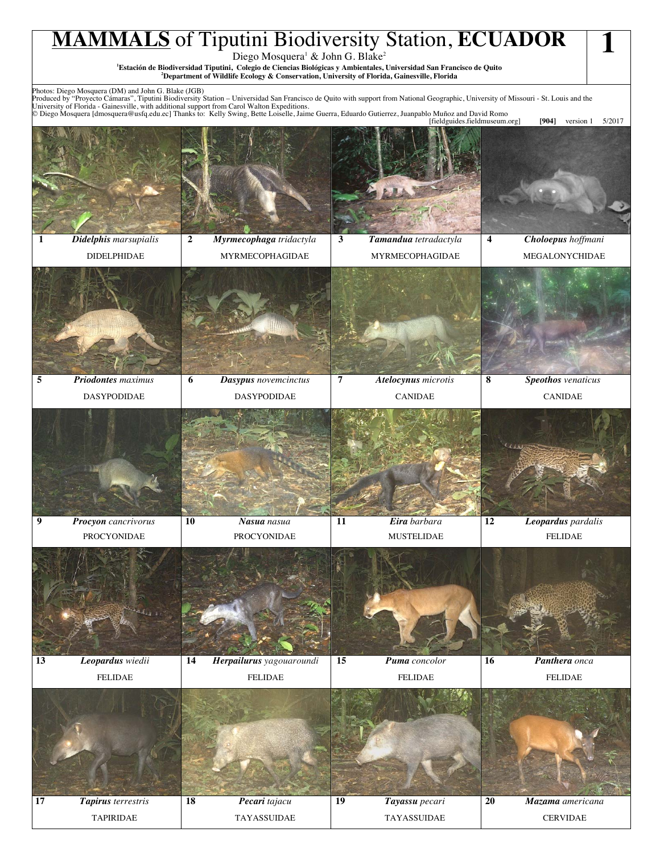## **MAMMALS** of Tiputini Biodiversity Station, **ECUADOR** Diego Mosquera<sup>1</sup> & John G. Blake<sup>2</sup> **1 Estación de Biodiversidad Tiputini, Colegio de Ciencias Biológicas y Ambientales, Universidad San Francisco de Quito 2 Department of Wildlife Ecology & Conservation, University of Florida, Gainesville, Florida 1** Photos: Diego Mosquera (DM) and John G. Blake (JGB)<br>Produced by "Proyecto Cámaras", Tiputini Biodiversity Station – Universidad San Francisco de Quito with support from National Geographic, University of Missouri - St. Lou **1** *Didelphis marsupialis*  **2** *Myrmecophaga tridactyla* **3** *Tamandua tetradactyla* **4** *Choloepus hoffmani* DIDELPHIDAE | MYRMECOPHAGIDAE | MYRMECOPHAGIDAE | MEGALONYCHIDAE **5** *Priodontes maximus*  **DASYPODIDAE 6** *Dasypus novemcinctus* **7** *Atelocynus microtis* **8** *Speothos venaticus*  DASYPODIDAE DASYPODIDAE CANIDAE CANIDAE **9** *Procyon cancrivorus* **10** *Nasua nasua* **11** *Eira barbara* **12** *Leopardus pardalis*  PROCYONIDAE PROCYONIDAE PROCYONIDAE MUSTELIDAE HELIDAE **13** *Leopardus wiedii* **14** *Herpailurus yagouaroundi* **15** *Puma concolor* **16** *Panthera onca*  FELIDAE FELIDAE FELIDAE FELIDAE

**17** *Tapirus terrestris* **18** *Pecari tajacu* **19** *Tayassu pecari* **20** *Mazama americana*

TAPIRIDAE TAYASSUIDAE TAYASSUIDAE CERVIDAE